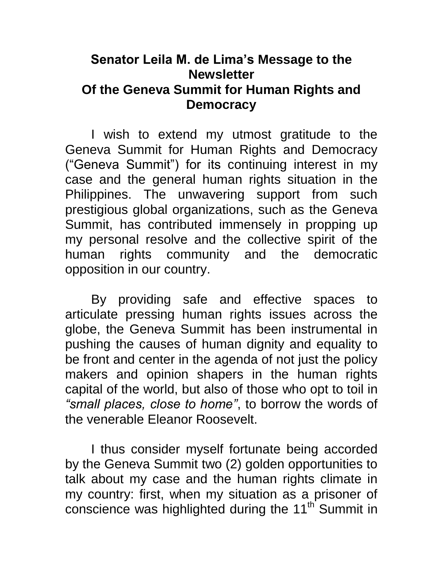## **Senator Leila M. de Lima's Message to the Newsletter Of the Geneva Summit for Human Rights and Democracy**

I wish to extend my utmost gratitude to the Geneva Summit for Human Rights and Democracy ("Geneva Summit") for its continuing interest in my case and the general human rights situation in the Philippines. The unwavering support from such prestigious global organizations, such as the Geneva Summit, has contributed immensely in propping up my personal resolve and the collective spirit of the human rights community and the democratic opposition in our country.

By providing safe and effective spaces to articulate pressing human rights issues across the globe, the Geneva Summit has been instrumental in pushing the causes of human dignity and equality to be front and center in the agenda of not just the policy makers and opinion shapers in the human rights capital of the world, but also of those who opt to toil in *"small places, close to home"*, to borrow the words of the venerable Eleanor Roosevelt.

I thus consider myself fortunate being accorded by the Geneva Summit two (2) golden opportunities to talk about my case and the human rights climate in my country: first, when my situation as a prisoner of conscience was highlighted during the 11<sup>th</sup> Summit in